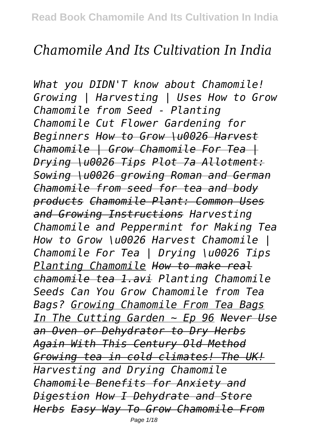# *Chamomile And Its Cultivation In India*

*What you DIDN'T know about Chamomile! Growing | Harvesting | Uses How to Grow Chamomile from Seed - Planting Chamomile Cut Flower Gardening for Beginners How to Grow \u0026 Harvest Chamomile | Grow Chamomile For Tea | Drying \u0026 Tips Plot 7a Allotment: Sowing \u0026 growing Roman and German Chamomile from seed for tea and body products Chamomile Plant: Common Uses and Growing Instructions Harvesting Chamomile and Peppermint for Making Tea How to Grow \u0026 Harvest Chamomile | Chamomile For Tea | Drying \u0026 Tips Planting Chamomile How to make real chamomile tea 1.avi Planting Chamomile Seeds Can You Grow Chamomile from Tea Bags? Growing Chamomile From Tea Bags In The Cutting Garden ~ Ep 96 Never Use an Oven or Dehydrator to Dry Herbs Again With This Century Old Method Growing tea in cold climates! The UK! Harvesting and Drying Chamomile Chamomile Benefits for Anxiety and Digestion How I Dehydrate and Store Herbs Easy Way To Grow Chamomile From* Page 1/18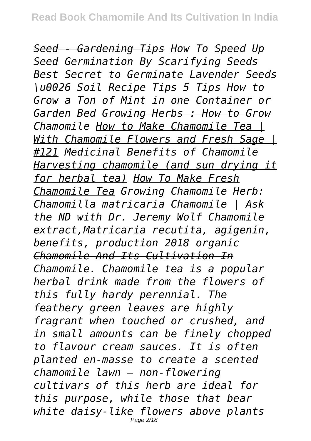*Seed - Gardening Tips How To Speed Up Seed Germination By Scarifying Seeds Best Secret to Germinate Lavender Seeds \u0026 Soil Recipe Tips 5 Tips How to Grow a Ton of Mint in one Container or Garden Bed Growing Herbs : How to Grow Chamomile How to Make Chamomile Tea | With Chamomile Flowers and Fresh Sage | #121 Medicinal Benefits of Chamomile Harvesting chamomile (and sun drying it for herbal tea) How To Make Fresh Chamomile Tea Growing Chamomile Herb: Chamomilla matricaria Chamomile | Ask the ND with Dr. Jeremy Wolf Chamomile extract,Matricaria recutita, agigenin, benefits, production 2018 organic Chamomile And Its Cultivation In Chamomile. Chamomile tea is a popular herbal drink made from the flowers of this fully hardy perennial. The feathery green leaves are highly fragrant when touched or crushed, and in small amounts can be finely chopped to flavour cream sauces. It is often planted en-masse to create a scented chamomile lawn – non-flowering cultivars of this herb are ideal for this purpose, while those that bear white daisy-like flowers above plants* Page 2/18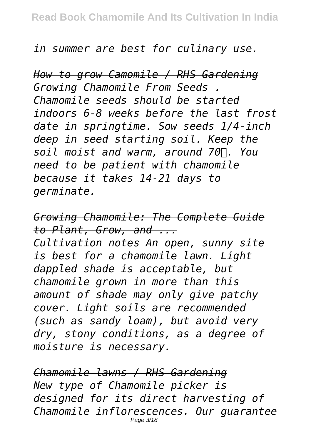### *in summer are best for culinary use.*

*How to grow Camomile / RHS Gardening Growing Chamomile From Seeds . Chamomile seeds should be started indoors 6-8 weeks before the last frost date in springtime. Sow seeds 1/4-inch deep in seed starting soil. Keep the soil moist and warm, around 70℉. You need to be patient with chamomile because it takes 14-21 days to germinate.*

*Growing Chamomile: The Complete Guide to Plant, Grow, and ... Cultivation notes An open, sunny site is best for a chamomile lawn. Light dappled shade is acceptable, but chamomile grown in more than this amount of shade may only give patchy cover. Light soils are recommended (such as sandy loam), but avoid very dry, stony conditions, as a degree of moisture is necessary.*

*Chamomile lawns / RHS Gardening New type of Chamomile picker is designed for its direct harvesting of Chamomile inflorescences. Our guarantee* Page 3/18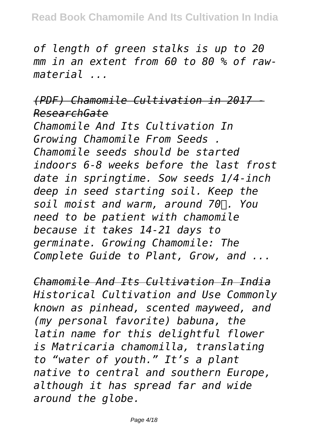*of length of green stalks is up to 20 mm in an extent from 60 to 80 % of rawmaterial ...*

*(PDF) Chamomile Cultivation in 2017 - ResearchGate*

*Chamomile And Its Cultivation In Growing Chamomile From Seeds . Chamomile seeds should be started indoors 6-8 weeks before the last frost date in springtime. Sow seeds 1/4-inch deep in seed starting soil. Keep the soil moist and warm, around 70℉. You need to be patient with chamomile because it takes 14-21 days to germinate. Growing Chamomile: The Complete Guide to Plant, Grow, and ...*

*Chamomile And Its Cultivation In India Historical Cultivation and Use Commonly known as pinhead, scented mayweed, and (my personal favorite) babuna, the latin name for this delightful flower is Matricaria chamomilla, translating to "water of youth." It's a plant native to central and southern Europe, although it has spread far and wide around the globe.*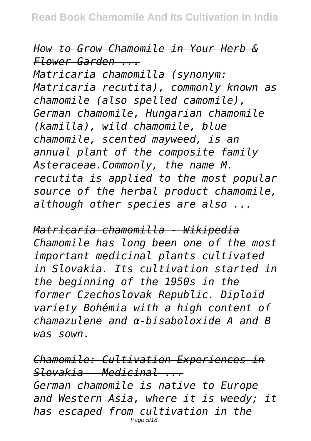*How to Grow Chamomile in Your Herb & Flower Garden ...*

*Matricaria chamomilla (synonym: Matricaria recutita), commonly known as chamomile (also spelled camomile), German chamomile, Hungarian chamomile (kamilla), wild chamomile, blue chamomile, scented mayweed, is an annual plant of the composite family Asteraceae.Commonly, the name M. recutita is applied to the most popular source of the herbal product chamomile, although other species are also ...*

*Matricaria chamomilla - Wikipedia Chamomile has long been one of the most important medicinal plants cultivated in Slovakia. Its cultivation started in the beginning of the 1950s in the former Czechoslovak Republic. Diploid variety Bohémia with a high content of chamazulene and α-bisaboloxide A and B was sown.*

*Chamomile: Cultivation Experiences in Slovakia – Medicinal ... German chamomile is native to Europe and Western Asia, where it is weedy; it has escaped from cultivation in the* Page 5/18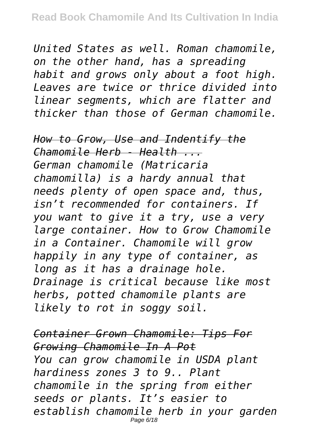*United States as well. Roman chamomile, on the other hand, has a spreading habit and grows only about a foot high. Leaves are twice or thrice divided into linear segments, which are flatter and thicker than those of German chamomile.*

*How to Grow, Use and Indentify the Chamomile Herb - Health ... German chamomile (Matricaria chamomilla) is a hardy annual that needs plenty of open space and, thus, isn't recommended for containers. If you want to give it a try, use a very large container. How to Grow Chamomile in a Container. Chamomile will grow happily in any type of container, as long as it has a drainage hole. Drainage is critical because like most herbs, potted chamomile plants are likely to rot in soggy soil.*

*Container Grown Chamomile: Tips For Growing Chamomile In A Pot You can grow chamomile in USDA plant hardiness zones 3 to 9.. Plant chamomile in the spring from either seeds or plants. It's easier to establish chamomile herb in your garden* Page 6/18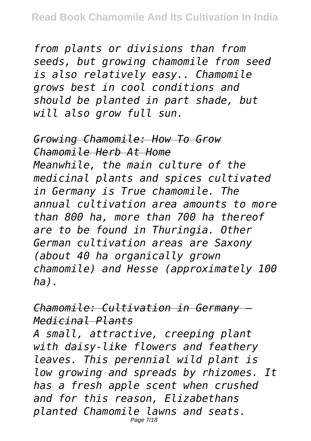*from plants or divisions than from seeds, but growing chamomile from seed is also relatively easy.. Chamomile grows best in cool conditions and should be planted in part shade, but will also grow full sun.*

*Growing Chamomile: How To Grow Chamomile Herb At Home Meanwhile, the main culture of the medicinal plants and spices cultivated in Germany is True chamomile. The annual cultivation area amounts to more than 800 ha, more than 700 ha thereof are to be found in Thuringia. Other German cultivation areas are Saxony (about 40 ha organically grown chamomile) and Hesse (approximately 100 ha).*

*Chamomile: Cultivation in Germany – Medicinal Plants*

*A small, attractive, creeping plant with daisy-like flowers and feathery leaves. This perennial wild plant is low growing and spreads by rhizomes. It has a fresh apple scent when crushed and for this reason, Elizabethans planted Chamomile lawns and seats.* Page 7/18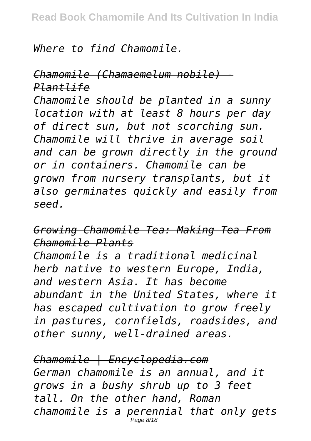*Where to find Chamomile.*

*Chamomile (Chamaemelum nobile) - Plantlife Chamomile should be planted in a sunny location with at least 8 hours per day of direct sun, but not scorching sun. Chamomile will thrive in average soil and can be grown directly in the ground or in containers. Chamomile can be grown from nursery transplants, but it also germinates quickly and easily from seed.*

*Growing Chamomile Tea: Making Tea From Chamomile Plants*

*Chamomile is a traditional medicinal herb native to western Europe, India, and western Asia. It has become abundant in the United States, where it has escaped cultivation to grow freely in pastures, cornfields, roadsides, and other sunny, well-drained areas.*

*Chamomile | Encyclopedia.com German chamomile is an annual, and it grows in a bushy shrub up to 3 feet tall. On the other hand, Roman chamomile is a perennial that only gets* Page 8/18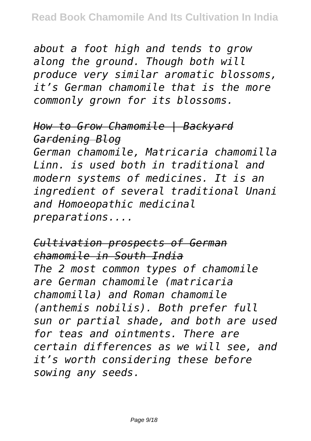*about a foot high and tends to grow along the ground. Though both will produce very similar aromatic blossoms, it's German chamomile that is the more commonly grown for its blossoms.*

*How to Grow Chamomile | Backyard Gardening Blog German chamomile, Matricaria chamomilla Linn. is used both in traditional and modern systems of medicines. It is an ingredient of several traditional Unani and Homoeopathic medicinal preparations....*

*Cultivation prospects of German chamomile in South India The 2 most common types of chamomile are German chamomile (matricaria chamomilla) and Roman chamomile (anthemis nobilis). Both prefer full sun or partial shade, and both are used for teas and ointments. There are certain differences as we will see, and it's worth considering these before sowing any seeds.*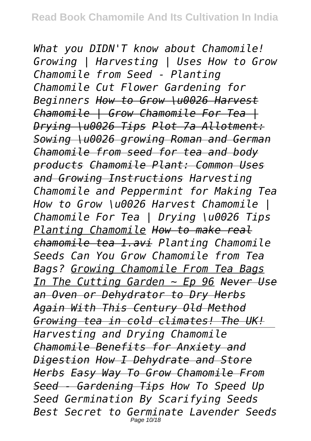*What you DIDN'T know about Chamomile! Growing | Harvesting | Uses How to Grow Chamomile from Seed - Planting Chamomile Cut Flower Gardening for Beginners How to Grow \u0026 Harvest Chamomile | Grow Chamomile For Tea | Drying \u0026 Tips Plot 7a Allotment: Sowing \u0026 growing Roman and German Chamomile from seed for tea and body products Chamomile Plant: Common Uses and Growing Instructions Harvesting Chamomile and Peppermint for Making Tea How to Grow \u0026 Harvest Chamomile | Chamomile For Tea | Drying \u0026 Tips Planting Chamomile How to make real chamomile tea 1.avi Planting Chamomile Seeds Can You Grow Chamomile from Tea Bags? Growing Chamomile From Tea Bags In The Cutting Garden ~ Ep 96 Never Use an Oven or Dehydrator to Dry Herbs Again With This Century Old Method Growing tea in cold climates! The UK! Harvesting and Drying Chamomile Chamomile Benefits for Anxiety and Digestion How I Dehydrate and Store Herbs Easy Way To Grow Chamomile From Seed - Gardening Tips How To Speed Up Seed Germination By Scarifying Seeds Best Secret to Germinate Lavender Seeds* Page 10/18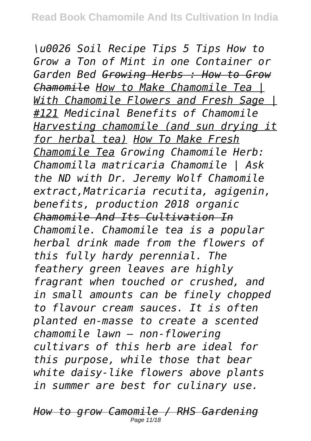*\u0026 Soil Recipe Tips 5 Tips How to Grow a Ton of Mint in one Container or Garden Bed Growing Herbs : How to Grow Chamomile How to Make Chamomile Tea | With Chamomile Flowers and Fresh Sage | #121 Medicinal Benefits of Chamomile Harvesting chamomile (and sun drying it for herbal tea) How To Make Fresh Chamomile Tea Growing Chamomile Herb: Chamomilla matricaria Chamomile | Ask the ND with Dr. Jeremy Wolf Chamomile extract,Matricaria recutita, agigenin, benefits, production 2018 organic Chamomile And Its Cultivation In Chamomile. Chamomile tea is a popular herbal drink made from the flowers of this fully hardy perennial. The feathery green leaves are highly fragrant when touched or crushed, and in small amounts can be finely chopped to flavour cream sauces. It is often planted en-masse to create a scented chamomile lawn – non-flowering cultivars of this herb are ideal for this purpose, while those that bear white daisy-like flowers above plants in summer are best for culinary use.*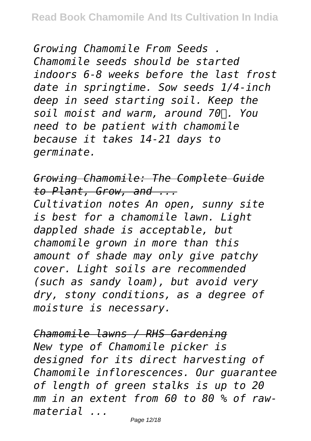*Growing Chamomile From Seeds . Chamomile seeds should be started indoors 6-8 weeks before the last frost date in springtime. Sow seeds 1/4-inch deep in seed starting soil. Keep the soil moist and warm, around 70℉. You need to be patient with chamomile because it takes 14-21 days to germinate.*

*Growing Chamomile: The Complete Guide to Plant, Grow, and ...*

*Cultivation notes An open, sunny site is best for a chamomile lawn. Light dappled shade is acceptable, but chamomile grown in more than this amount of shade may only give patchy cover. Light soils are recommended (such as sandy loam), but avoid very dry, stony conditions, as a degree of moisture is necessary.*

*Chamomile lawns / RHS Gardening New type of Chamomile picker is designed for its direct harvesting of Chamomile inflorescences. Our guarantee of length of green stalks is up to 20 mm in an extent from 60 to 80 % of rawmaterial ...*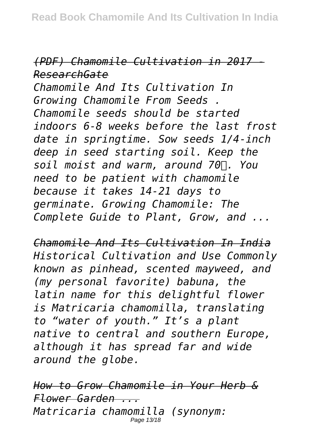## *(PDF) Chamomile Cultivation in 2017 - ResearchGate*

*Chamomile And Its Cultivation In Growing Chamomile From Seeds . Chamomile seeds should be started indoors 6-8 weeks before the last frost date in springtime. Sow seeds 1/4-inch deep in seed starting soil. Keep the soil moist and warm, around 70℉. You need to be patient with chamomile because it takes 14-21 days to germinate. Growing Chamomile: The Complete Guide to Plant, Grow, and ...*

*Chamomile And Its Cultivation In India Historical Cultivation and Use Commonly known as pinhead, scented mayweed, and (my personal favorite) babuna, the latin name for this delightful flower is Matricaria chamomilla, translating to "water of youth." It's a plant native to central and southern Europe, although it has spread far and wide around the globe.*

*How to Grow Chamomile in Your Herb & Flower Garden ... Matricaria chamomilla (synonym:* Page 13/18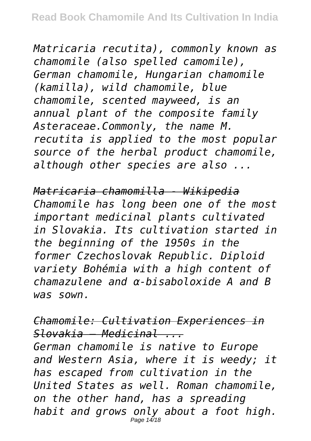*Matricaria recutita), commonly known as chamomile (also spelled camomile), German chamomile, Hungarian chamomile (kamilla), wild chamomile, blue chamomile, scented mayweed, is an annual plant of the composite family Asteraceae.Commonly, the name M. recutita is applied to the most popular source of the herbal product chamomile, although other species are also ...*

*Matricaria chamomilla - Wikipedia Chamomile has long been one of the most important medicinal plants cultivated in Slovakia. Its cultivation started in the beginning of the 1950s in the former Czechoslovak Republic. Diploid variety Bohémia with a high content of chamazulene and α-bisaboloxide A and B was sown.*

*Chamomile: Cultivation Experiences in Slovakia – Medicinal ... German chamomile is native to Europe and Western Asia, where it is weedy; it has escaped from cultivation in the United States as well. Roman chamomile, on the other hand, has a spreading habit and grows only about a foot high.* Page 14/18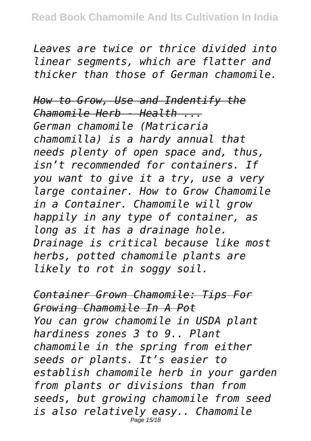*Leaves are twice or thrice divided into linear segments, which are flatter and thicker than those of German chamomile.*

*How to Grow, Use and Indentify the Chamomile Herb - Health ... German chamomile (Matricaria chamomilla) is a hardy annual that needs plenty of open space and, thus, isn't recommended for containers. If you want to give it a try, use a very large container. How to Grow Chamomile in a Container. Chamomile will grow happily in any type of container, as long as it has a drainage hole. Drainage is critical because like most herbs, potted chamomile plants are likely to rot in soggy soil.*

*Container Grown Chamomile: Tips For Growing Chamomile In A Pot You can grow chamomile in USDA plant hardiness zones 3 to 9.. Plant chamomile in the spring from either seeds or plants. It's easier to establish chamomile herb in your garden from plants or divisions than from seeds, but growing chamomile from seed is also relatively easy.. Chamomile* Page 15/18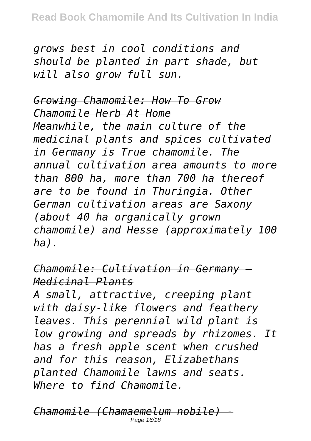*grows best in cool conditions and should be planted in part shade, but will also grow full sun.*

*Growing Chamomile: How To Grow Chamomile Herb At Home Meanwhile, the main culture of the medicinal plants and spices cultivated in Germany is True chamomile. The annual cultivation area amounts to more than 800 ha, more than 700 ha thereof are to be found in Thuringia. Other German cultivation areas are Saxony (about 40 ha organically grown chamomile) and Hesse (approximately 100 ha).*

*Chamomile: Cultivation in Germany – Medicinal Plants*

*A small, attractive, creeping plant with daisy-like flowers and feathery leaves. This perennial wild plant is low growing and spreads by rhizomes. It has a fresh apple scent when crushed and for this reason, Elizabethans planted Chamomile lawns and seats. Where to find Chamomile.*

*Chamomile (Chamaemelum nobile) -* Page 16/18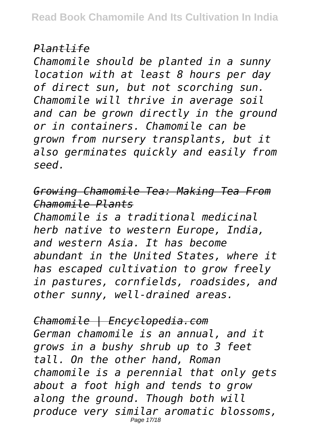### *Plantlife*

*Chamomile should be planted in a sunny location with at least 8 hours per day of direct sun, but not scorching sun. Chamomile will thrive in average soil and can be grown directly in the ground or in containers. Chamomile can be grown from nursery transplants, but it also germinates quickly and easily from seed.*

*Growing Chamomile Tea: Making Tea From Chamomile Plants*

*Chamomile is a traditional medicinal herb native to western Europe, India, and western Asia. It has become abundant in the United States, where it has escaped cultivation to grow freely in pastures, cornfields, roadsides, and other sunny, well-drained areas.*

*Chamomile | Encyclopedia.com German chamomile is an annual, and it grows in a bushy shrub up to 3 feet tall. On the other hand, Roman chamomile is a perennial that only gets about a foot high and tends to grow along the ground. Though both will produce very similar aromatic blossoms,* Page 17/18